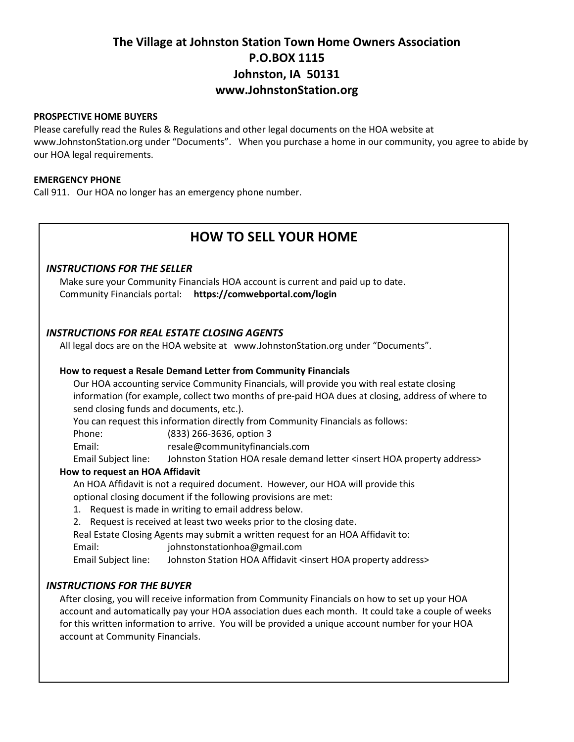# **The Village at Johnston Station Town Home Owners Association P.O.BOX 1115 Johnston, IA 50131 www.JohnstonStation.org**

#### **PROSPECTIVE HOME BUYERS**

Please carefully read the Rules & Regulations and other legal documents on the HOA website at www.JohnstonStation.org under "Documents". When you purchase a home in our community, you agree to abide by our HOA legal requirements.

#### **EMERGENCY PHONE**

Call 911. Our HOA no longer has an emergency phone number.

## **HOW TO SELL YOUR HOME**

## *INSTRUCTIONS FOR THE SELLER*

Make sure your Community Financials HOA account is current and paid up to date. Community Financials portal: **https://comwebportal.com/login**

## *INSTRUCTIONS FOR REAL ESTATE CLOSING AGENTS*

All legal docs are on the HOA website at www.JohnstonStation.org under "Documents".

#### **How to request a Resale Demand Letter from Community Financials**

Our HOA accounting service Community Financials, will provide you with real estate closing information (for example, collect two months of pre-paid HOA dues at closing, address of where to send closing funds and documents, etc.).

You can request this information directly from Community Financials as follows:

Phone: (833) 266-3636, option 3

Email: resale@communityfinancials.com

Email Subject line: Johnston Station HOA resale demand letter <insert HOA property address>

## **How to request an HOA Affidavit**

An HOA Affidavit is not a required document. However, our HOA will provide this optional closing document if the following provisions are met:

- 1. Request is made in writing to email address below.
- 2. Request is received at least two weeks prior to the closing date.

Real Estate Closing Agents may submit a written request for an HOA Affidavit to:

Email: johnstonstationhoa@gmail.com

Email Subject line: Johnston Station HOA Affidavit <insert HOA property address>

## *INSTRUCTIONS FOR THE BUYER*

After closing, you will receive information from Community Financials on how to set up your HOA account and automatically pay your HOA association dues each month. It could take a couple of weeks for this written information to arrive. You will be provided a unique account number for your HOA account at Community Financials.